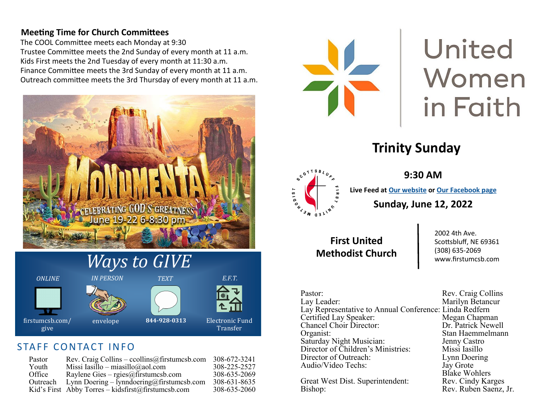#### **Meeting Time for Church Committees**

The COOL Committee meets each Monday at 9:30 Trustee Committee meets the 2nd Sunday of every month at 11 a.m. Kids First meets the 2nd Tuesday of every month at 11:30 a.m. Finance Committee meets the 3rd Sunday of every month at 11 a.m. Outreach committee meets the 3rd Thursday of every month at 11 a.m.









#### STAFF CONTACT INFO

| Pastor   | Rev. Craig Collins – ccollins@firstumcsb.com       | 308-672-3241 |
|----------|----------------------------------------------------|--------------|
| Youth    | Missi Iasillo – miasillo@aol.com                   | 308-225-2527 |
| Office   | Raylene Gies – rgies@firstumcsb.com                | 308-635-2069 |
| Outreach | Lynn Doering - lynndoering@firstumcsb.com          | 308-631-8635 |
|          | Kid's First Abby Torres – kidsfirst@firstumcsb.com | 308-635-2060 |



# United Women in Faith

# **Trinity Sunday**



**9:30 AM**

**Live Feed at [Our website](https://www.firstumcsb.com/live/) or [Our Facebook page](https://www.facebook.com/pg/methodistchurch.scottsbluff/videos/?ref=page_internal) Sunday, June 12, 2022** 

**First United Methodist Church**

2002 4th Ave. Scottsbluff, NE 69361 (308) 635-2069 www.firstumcsb.com

Pastor: Rev. Craig Collins<br>
Lay Leader: Marilyn Betancur Lay Representative to Annual Conference: Linda Redfern Certified Lay Speaker: Megan Chapman<br>
Chancel Choir Director: Dr. Patrick Newell Chancel Choir Director:<br>Organist: Saturday Night Musician: Jenny Castro Director of Children's Ministries: Missi Iasillo Director of Outreach: Lynn Doering Audio/Video Techs: Jay Grote

Great West Dist. Superintendent: Bishop: Rev. Ruben Saenz, Jr.

Marilyn Betancur Stan Haemmelmann<br>Jenny Castro Blake Wohlers<br>Rev. Cindy Karges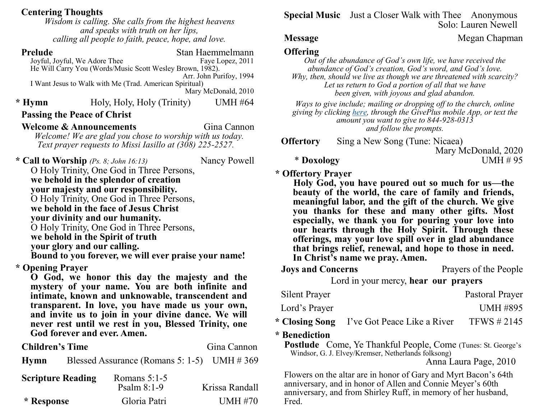#### **Centering Thoughts**

*Wisdom is calling. She calls from the highest heavens and speaks with truth on her lips, calling all people to faith, peace, hope, and love.* 

| <b>Prelude</b>                                       |                                                     |                                                           | Stan Haemmelmann        |  |
|------------------------------------------------------|-----------------------------------------------------|-----------------------------------------------------------|-------------------------|--|
| Joyful, Joyful, We Adore Thee                        |                                                     |                                                           | Faye Lopez, 2011        |  |
|                                                      |                                                     | He Will Carry You (Words/Music Scott Wesley Brown, 1982). | Arr. John Purifoy, 1994 |  |
|                                                      |                                                     | I Want Jesus to Walk with Me (Trad. American Spiritual)   |                         |  |
|                                                      |                                                     |                                                           | Mary McDonald, 2010     |  |
| * Hymn                                               |                                                     | Holy, Holy, Holy (Trinity)                                | <b>UMH #64</b>          |  |
| <b>Passing the Peace of Christ</b>                   |                                                     |                                                           |                         |  |
| <b>Welcome &amp; Announcements</b>                   |                                                     |                                                           | Gina Cannon             |  |
|                                                      |                                                     | Welcome! We are glad you chose to worship with us today.  |                         |  |
|                                                      |                                                     | Text prayer requests to Missi Iasillo at (308) 225-2527.  |                         |  |
| * Call to Worship $(P_s. 8; John 16:13)$             |                                                     |                                                           | Nancy Powell            |  |
|                                                      |                                                     | O Holy Trinity, One God in Three Persons,                 |                         |  |
|                                                      |                                                     | we behold in the splendor of creation                     |                         |  |
|                                                      |                                                     | your majesty and our responsibility.                      |                         |  |
|                                                      |                                                     | O Holy Trinity, One God in Three Persons,                 |                         |  |
|                                                      |                                                     | we behold in the face of Jesus Christ                     |                         |  |
|                                                      |                                                     | your divinity and our humanity.                           |                         |  |
|                                                      |                                                     | O Holy Trinity, One God in Three Persons,                 |                         |  |
|                                                      |                                                     | we behold in the Spirit of truth                          |                         |  |
|                                                      | your glory and our calling.                         |                                                           |                         |  |
| Bound to you forever, we will ever praise your name! |                                                     |                                                           |                         |  |
| * Opening Prayer                                     |                                                     |                                                           |                         |  |
|                                                      |                                                     | O God, we honor this day the majesty and the              |                         |  |
|                                                      |                                                     | mystery of your name. You are both infinite and           |                         |  |
|                                                      |                                                     | intimate, known and unknowable, transcendent and          |                         |  |
|                                                      |                                                     | transparent. In love, you have made us your own,          |                         |  |
|                                                      | and invite us to join in your divine dance. We will |                                                           |                         |  |
|                                                      |                                                     | never rest until we rest in you, Blessed Trinity, one     |                         |  |
|                                                      |                                                     | God forever and ever. Amen.                               |                         |  |
| <b>Children's Time</b>                               |                                                     |                                                           | Gina Cannon             |  |
| <b>Hymn</b>                                          |                                                     | Blessed Assurance (Romans 5: 1-5) UMH $\# 369$            |                         |  |
| <b>Scripture Reading</b>                             |                                                     | Romans $5:1-5$                                            |                         |  |
|                                                      |                                                     | Psalm $8:1-9$                                             | Krissa Randall          |  |
| * Response                                           |                                                     | Gloria Patri                                              | <b>UMH</b> #70          |  |

**Special Music** Just a Closer Walk with Thee Anonymous Solo: Lauren Newell

#### **Message Megan Chapman**

#### **Offering**

*Out of the abundance of God's own life, we have received the abundance of God's creation, God's word, and God's love. Why, then, should we live as though we are threatened with scarcity? Let us return to God a portion of all that we have been given, with joyous and glad abandon.*

*Ways to give include; mailing or dropping off to the church, online giving by clicking [here,](https://www.eservicepayments.com/cgi-bin/Vanco_ver3.vps?appver3=wWsk24ZWJSTZKsGd1RMKlg0BDvsSG3VIWQCPJNNxD8upkiY7JlDavDsozUE7KG0nFx2NSo8LdUKGuGuF396vbeth0Zk7bqQKMktJw4DOSBsiYnTg5dP4O6rpX5QvPEWlBhHDN59kLZFffwKfYERpQvOqXox2GLP-7JjnzzZdCUA=&ver=3) through the GivePlus mobile App, or text the amount you want to give to 844-928-0313 and follow the prompts.*

**Offertory** Sing a New Song (Tune: Nicaea)

Mary McDonald, 2020

\* **Doxology** UMH # 95

#### **\* Offertory Prayer**

**Holy God, you have poured out so much for us—the beauty of the world, the care of family and friends, meaningful labor, and the gift of the church. We give you thanks for these and many other gifts. Most especially, we thank you for pouring your love into our hearts through the Holy Spirit. Through these offerings, may your love spill over in glad abundance that brings relief, renewal, and hope to those in need. In Christ's name we pray. Amen.** 

**Joys and Concerns** Prayers of the People

Lord in your mercy, **hear our prayers**

| Silent Prayer |                                            | Pastoral Prayer |
|---------------|--------------------------------------------|-----------------|
| Lord's Prayer |                                            | UMH #895        |
|               | * Closing Song I've Got Peace Like a River | TFWS $\#2145$   |

**\* Benediction**

**Postlude** Come, Ye Thankful People, Come (Tunes: St. George's Windsor, G. J. Elvey/Kremser, Netherlands folksong)

Anna Laura Page, 2010

Flowers on the altar are in honor of Gary and Myrt Bacon's 64th anniversary, and in honor of Allen and Connie Meyer's 60th anniversary, and from Shirley Ruff, in memory of her husband, Fred.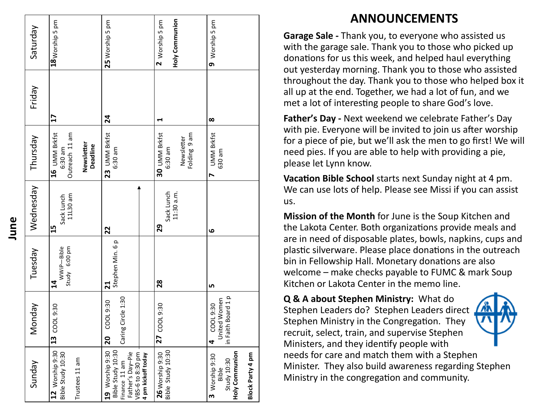| Saturday  | 18 Worship 5 pm                                                             | 25 Worship 5 pm                                                                                                     | Holy Communion<br>2 Worship 5 pm                       | 9 Worship 5 pm                                                               |
|-----------|-----------------------------------------------------------------------------|---------------------------------------------------------------------------------------------------------------------|--------------------------------------------------------|------------------------------------------------------------------------------|
| Friday    | $\mathbf{L}$                                                                | 24                                                                                                                  | ↤                                                      | $\infty$                                                                     |
| Thursday  | 16 UMM Brkfst<br>Outreach 11 am<br>Newsletter<br><b>Deadline</b><br>6:30 am | 23 UMM Brkfst<br>6:30 am                                                                                            | 30 UMM Brkfst<br>Folding 9 am<br>Newsletter<br>6:30 am | <b>UMM Brkfst</b><br>630 am<br>N                                             |
| Wednesday | 11L30 am<br>Sack Lunch<br>15                                                | 22                                                                                                                  | Sack Lunch<br>11:30 a.m.<br>29                         | ڡ                                                                            |
| Tuesday   | Study 6:00 pm<br>WWiP-Bible<br>$\overline{\mathbf{a}}$                      | Stephen Min. 6p<br>$\mathbf{z}$                                                                                     | 28                                                     | LŊ                                                                           |
| Vonday    | 13 COOL 9:30                                                                | Caring Circle 1:30<br>COOL 9:30<br>20                                                                               | 27 COOL 9:30                                           | in Faith Board 1 p<br>United Women<br>COOL 9:30<br>4                         |
| Sunday    | 12 Worship 9:30<br>Bible Study 10:30<br>Trustees 11 am                      | Bible Study 10:30<br>19 Worship 9:30<br>VBS-6 to 8:30 pm<br>Father's Day-Pie<br>4 pm kickoff today<br>Finance 11 am | Bible Study 10:30<br>26 Worship 9:30                   | Holy Communion<br>Block Party 4 pm<br>3 Worship 9:30<br>Study 10:30<br>Bible |

## **ANNOUNCEMENTS**

**Garage Sale -** Thank you, to everyone who assisted us with the garage sale. Thank you to those who picked up donations for us this week, and helped haul everything out yesterday morning. Thank you to those who assisted throughout the day. Thank you to those who helped box it all up at the end. Together, we had a lot of fun, and we met a lot of interesting people to share God 's love.

**Father 's Day -** Next weekend we celebrate Father 's Day with pie. Everyone will be invited to join us after worship for a piece of pie, but we 'll ask the men to go first! We will need pies. If you are able to help with providing a pie, please let Lynn know.

**Vacation Bible School** starts next Sunday night at 4 pm. We can use lots of help. Please see Missi if you can assist us.

**Mission of the Month** for June is the Soup Kitchen and the Lakota Center. Both organizations provide meals and are in need of disposable plates, bowls, napkins, cups and plastic silverware. Please place donations in the outreach bin in Fellowship Hall. Monetary donations are also welcome – make checks payable to FUMC & mark Soup Kitchen or Lakota Center in the memo line.

**Q & A about Stephen Ministry:** What do Stephen Leaders do? Stephen Leaders direct Stephen Ministry in the Congregation. They recruit, select, train, and supervise Stephen Ministers, and they identify people with needs for care and match them with a Stephen Minister. They also build awareness regarding Stephen Ministry in the congregation and community.

**June**